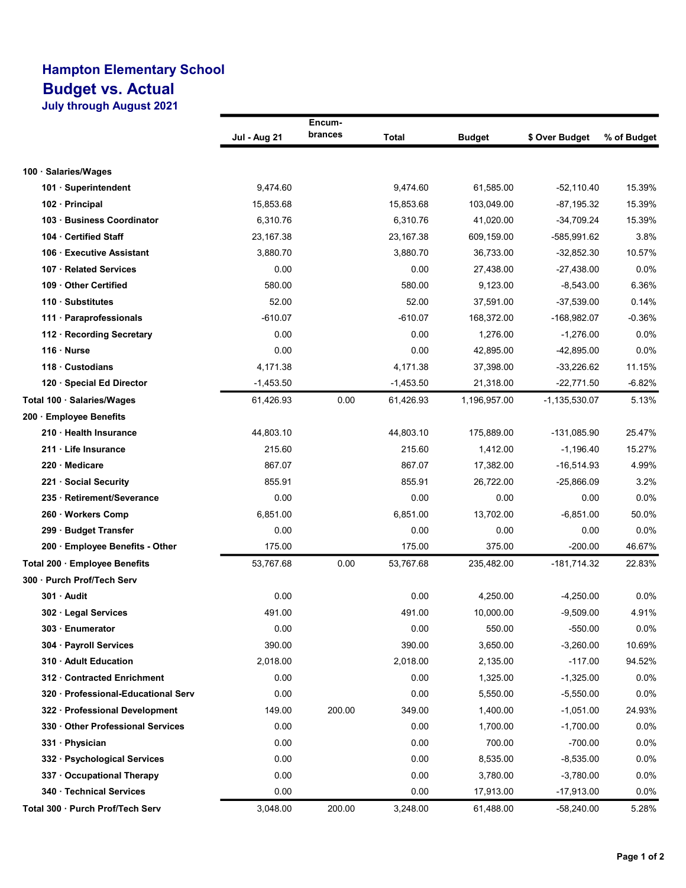## Hampton Elementary School Budget vs. Actual July through August 2021

|                                     | Encum-              |         |             |               |                |             |  |
|-------------------------------------|---------------------|---------|-------------|---------------|----------------|-------------|--|
|                                     | <b>Jul - Aug 21</b> | brances | Total       | <b>Budget</b> | \$ Over Budget | % of Budget |  |
|                                     |                     |         |             |               |                |             |  |
| 100 · Salaries/Wages                |                     |         |             |               |                |             |  |
| 101 · Superintendent                | 9,474.60            |         | 9,474.60    | 61,585.00     | $-52,110.40$   | 15.39%      |  |
| 102 · Principal                     | 15,853.68           |         | 15,853.68   | 103,049.00    | $-87, 195.32$  | 15.39%      |  |
| 103 · Business Coordinator          | 6,310.76            |         | 6,310.76    | 41,020.00     | $-34,709.24$   | 15.39%      |  |
| 104 Certified Staff                 | 23,167.38           |         | 23,167.38   | 609,159.00    | -585,991.62    | 3.8%        |  |
| 106 Executive Assistant             | 3,880.70            |         | 3,880.70    | 36.733.00     | $-32,852.30$   | 10.57%      |  |
| 107 · Related Services              | 0.00                |         | 0.00        | 27,438.00     | -27,438.00     | $0.0\%$     |  |
| 109 Other Certified                 | 580.00              |         | 580.00      | 9,123.00      | $-8,543.00$    | 6.36%       |  |
| 110 Substitutes                     | 52.00               |         | 52.00       | 37,591.00     | $-37,539.00$   | 0.14%       |  |
| 111 · Paraprofessionals             | $-610.07$           |         | $-610.07$   | 168,372.00    | -168,982.07    | $-0.36%$    |  |
| 112 · Recording Secretary           | 0.00                |         | 0.00        | 1,276.00      | $-1,276.00$    | 0.0%        |  |
| $116 \cdot$ Nurse                   | 0.00                |         | 0.00        | 42,895.00     | $-42,895.00$   | 0.0%        |  |
| 118 Custodians                      | 4,171.38            |         | 4,171.38    | 37,398.00     | $-33,226.62$   | 11.15%      |  |
| 120 · Special Ed Director           | $-1,453.50$         |         | $-1,453.50$ | 21,318.00     | $-22,771.50$   | $-6.82%$    |  |
| Total 100 · Salaries/Wages          | 61,426.93           | 0.00    | 61,426.93   | 1,196,957.00  | -1,135,530.07  | 5.13%       |  |
| 200 Employee Benefits               |                     |         |             |               |                |             |  |
| 210 · Health Insurance              | 44,803.10           |         | 44,803.10   | 175,889.00    | -131,085.90    | 25.47%      |  |
| 211 Life Insurance                  | 215.60              |         | 215.60      | 1,412.00      | $-1,196.40$    | 15.27%      |  |
| 220 · Medicare                      | 867.07              |         | 867.07      | 17,382.00     | $-16,514.93$   | 4.99%       |  |
| 221 Social Security                 | 855.91              |         | 855.91      | 26,722.00     | $-25,866.09$   | 3.2%        |  |
| · Retirement/Severance<br>235       | 0.00                |         | 0.00        | 0.00          | 0.00           | 0.0%        |  |
| 260 · Workers Comp                  | 6,851.00            |         | 6,851.00    | 13,702.00     | $-6,851.00$    | 50.0%       |  |
| 299 · Budget Transfer               | 0.00                |         | 0.00        | 0.00          | 0.00           | $0.0\%$     |  |
| 200 · Employee Benefits - Other     | 175.00              |         | 175.00      | 375.00        | $-200.00$      | 46.67%      |  |
| Total 200 · Employee Benefits       | 53,767.68           | 0.00    | 53,767.68   | 235,482.00    | -181,714.32    | 22.83%      |  |
| 300 Purch Prof/Tech Serv            |                     |         |             |               |                |             |  |
| 301 · Audit                         | 0.00                |         | 0.00        | 4,250.00      | $-4,250.00$    | 0.0%        |  |
| 302 · Legal Services                | 491.00              |         | 491.00      | 10.000.00     | $-9,509.00$    | 4.91%       |  |
| 303 · Enumerator                    | 0.00                |         | 0.00        | 550.00        | $-550.00$      | 0.0%        |  |
| 304 · Payroll Services              | 390.00              |         | 390.00      | 3,650.00      | $-3,260.00$    | 10.69%      |  |
| 310 Adult Education                 | 2,018.00            |         | 2,018.00    | 2,135.00      | $-117.00$      | 94.52%      |  |
| 312 Contracted Enrichment           | 0.00                |         | 0.00        | 1,325.00      | $-1,325.00$    | 0.0%        |  |
| 320 · Professional-Educational Serv | 0.00                |         | 0.00        | 5,550.00      | $-5,550.00$    | 0.0%        |  |
| 322 Professional Development        | 149.00              | 200.00  | 349.00      | 1,400.00      | $-1,051.00$    | 24.93%      |  |
| 330 Other Professional Services     | 0.00                |         | 0.00        | 1,700.00      | $-1,700.00$    | 0.0%        |  |
| 331 · Physician                     | 0.00                |         | 0.00        | 700.00        | $-700.00$      | 0.0%        |  |
| 332 · Psychological Services        | 0.00                |         | 0.00        | 8,535.00      | $-8,535.00$    | 0.0%        |  |
| 337 Occupational Therapy            | 0.00                |         | 0.00        | 3,780.00      | $-3,780.00$    | 0.0%        |  |
| 340 · Technical Services            | 0.00                |         | 0.00        | 17,913.00     | $-17,913.00$   | 0.0%        |  |
| Total 300 · Purch Prof/Tech Serv    | 3,048.00            | 200.00  | 3,248.00    | 61,488.00     | -58,240.00     | 5.28%       |  |